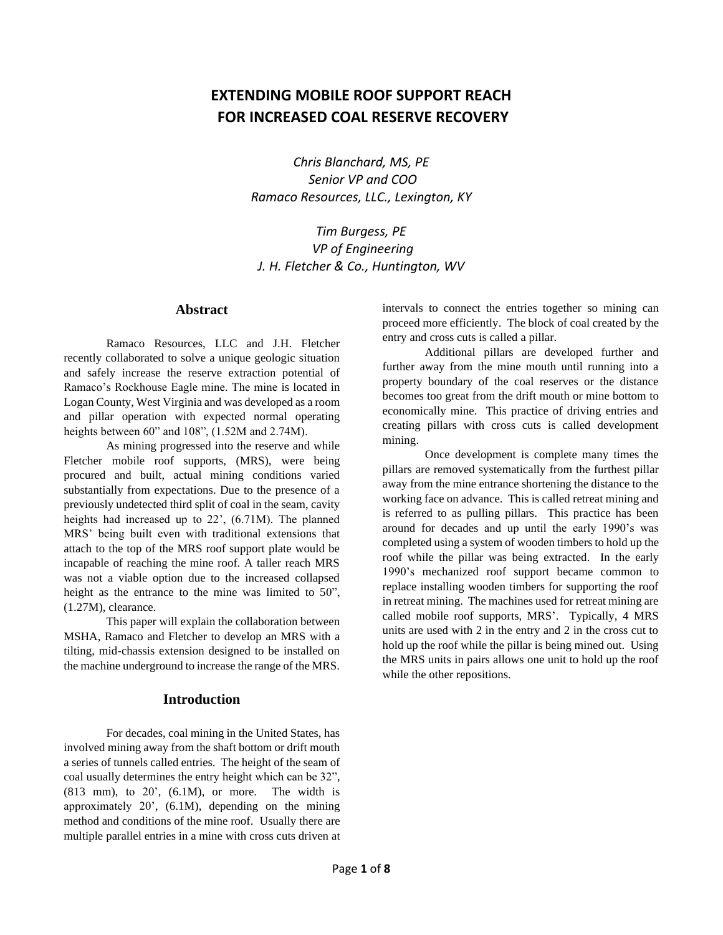# **EXTENDING MOBILE ROOF SUPPORT REACH FOR INCREASED COAL RESERVE RECOVERY**

*Chris Blanchard, MS, PE Senior VP and COO Ramaco Resources, LLC., Lexington, KY*

*Tim Burgess, PE VP of Engineering J. H. Fletcher & Co., Huntington, WV*

#### **Abstract**

Ramaco Resources, LLC and J.H. Fletcher recently collaborated to solve a unique geologic situation and safely increase the reserve extraction potential of Ramaco's Rockhouse Eagle mine. The mine is located in Logan County, West Virginia and was developed as a room and pillar operation with expected normal operating heights between 60" and 108", (1.52M and 2.74M).

As mining progressed into the reserve and while Fletcher mobile roof supports, (MRS), were being procured and built, actual mining conditions varied substantially from expectations. Due to the presence of a previously undetected third split of coal in the seam, cavity heights had increased up to 22', (6.71M). The planned MRS' being built even with traditional extensions that attach to the top of the MRS roof support plate would be incapable of reaching the mine roof. A taller reach MRS was not a viable option due to the increased collapsed height as the entrance to the mine was limited to 50", (1.27M), clearance.

This paper will explain the collaboration between MSHA, Ramaco and Fletcher to develop an MRS with a tilting, mid-chassis extension designed to be installed on the machine underground to increase the range of the MRS.

#### **Introduction**

For decades, coal mining in the United States, has involved mining away from the shaft bottom or drift mouth a series of tunnels called entries. The height of the seam of coal usually determines the entry height which can be 32", (813 mm), to 20', (6.1M), or more. The width is approximately 20', (6.1M), depending on the mining method and conditions of the mine roof. Usually there are multiple parallel entries in a mine with cross cuts driven at intervals to connect the entries together so mining can proceed more efficiently. The block of coal created by the entry and cross cuts is called a pillar.

Additional pillars are developed further and further away from the mine mouth until running into a property boundary of the coal reserves or the distance becomes too great from the drift mouth or mine bottom to economically mine. This practice of driving entries and creating pillars with cross cuts is called development mining.

Once development is complete many times the pillars are removed systematically from the furthest pillar away from the mine entrance shortening the distance to the working face on advance. This is called retreat mining and is referred to as pulling pillars. This practice has been around for decades and up until the early 1990's was completed using a system of wooden timbers to hold up the roof while the pillar was being extracted. In the early 1990's mechanized roof support became common to replace installing wooden timbers for supporting the roof in retreat mining. The machines used for retreat mining are called mobile roof supports, MRS'. Typically, 4 MRS units are used with 2 in the entry and 2 in the cross cut to hold up the roof while the pillar is being mined out. Using the MRS units in pairs allows one unit to hold up the roof while the other repositions.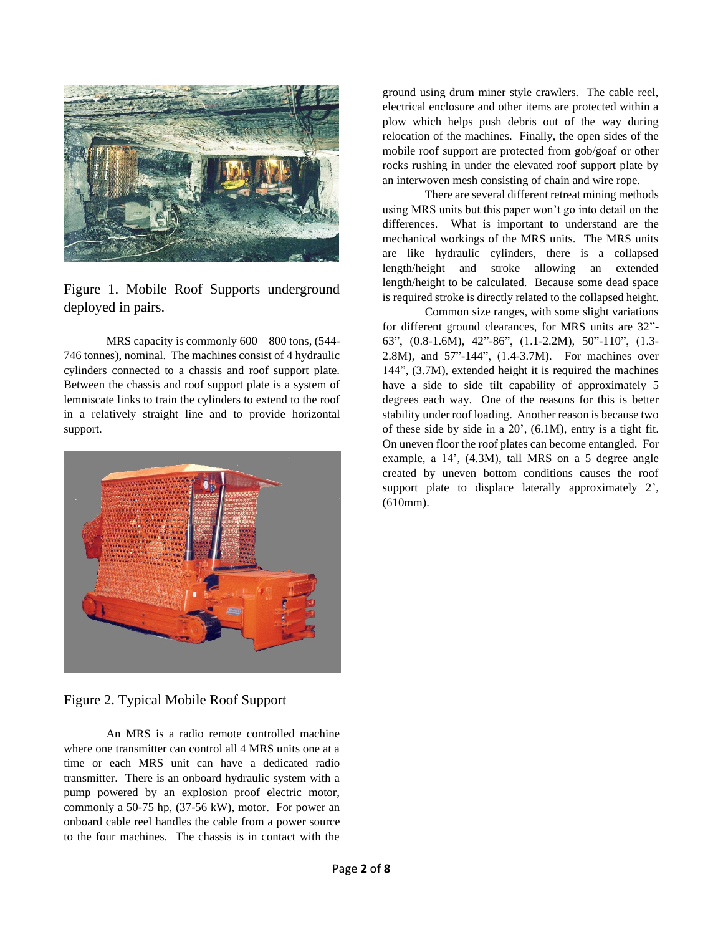

Figure 1. Mobile Roof Supports underground deployed in pairs.

MRS capacity is commonly 600 – 800 tons, (544- 746 tonnes), nominal. The machines consist of 4 hydraulic cylinders connected to a chassis and roof support plate. Between the chassis and roof support plate is a system of lemniscate links to train the cylinders to extend to the roof in a relatively straight line and to provide horizontal support.



Figure 2. Typical Mobile Roof Support

An MRS is a radio remote controlled machine where one transmitter can control all 4 MRS units one at a time or each MRS unit can have a dedicated radio transmitter. There is an onboard hydraulic system with a pump powered by an explosion proof electric motor, commonly a 50-75 hp, (37-56 kW), motor. For power an onboard cable reel handles the cable from a power source to the four machines. The chassis is in contact with the

ground using drum miner style crawlers. The cable reel, electrical enclosure and other items are protected within a plow which helps push debris out of the way during relocation of the machines. Finally, the open sides of the mobile roof support are protected from gob/goaf or other rocks rushing in under the elevated roof support plate by an interwoven mesh consisting of chain and wire rope.

There are several different retreat mining methods using MRS units but this paper won't go into detail on the differences. What is important to understand are the mechanical workings of the MRS units. The MRS units are like hydraulic cylinders, there is a collapsed length/height and stroke allowing an extended length/height to be calculated. Because some dead space is required stroke is directly related to the collapsed height.

Common size ranges, with some slight variations for different ground clearances, for MRS units are 32"- 63", (0.8-1.6M), 42"-86", (1.1-2.2M), 50"-110", (1.3- 2.8M), and 57"-144", (1.4-3.7M). For machines over 144", (3.7M), extended height it is required the machines have a side to side tilt capability of approximately 5 degrees each way. One of the reasons for this is better stability under roof loading. Another reason is because two of these side by side in a 20', (6.1M), entry is a tight fit. On uneven floor the roof plates can become entangled. For example, a 14', (4.3M), tall MRS on a 5 degree angle created by uneven bottom conditions causes the roof support plate to displace laterally approximately 2', (610mm).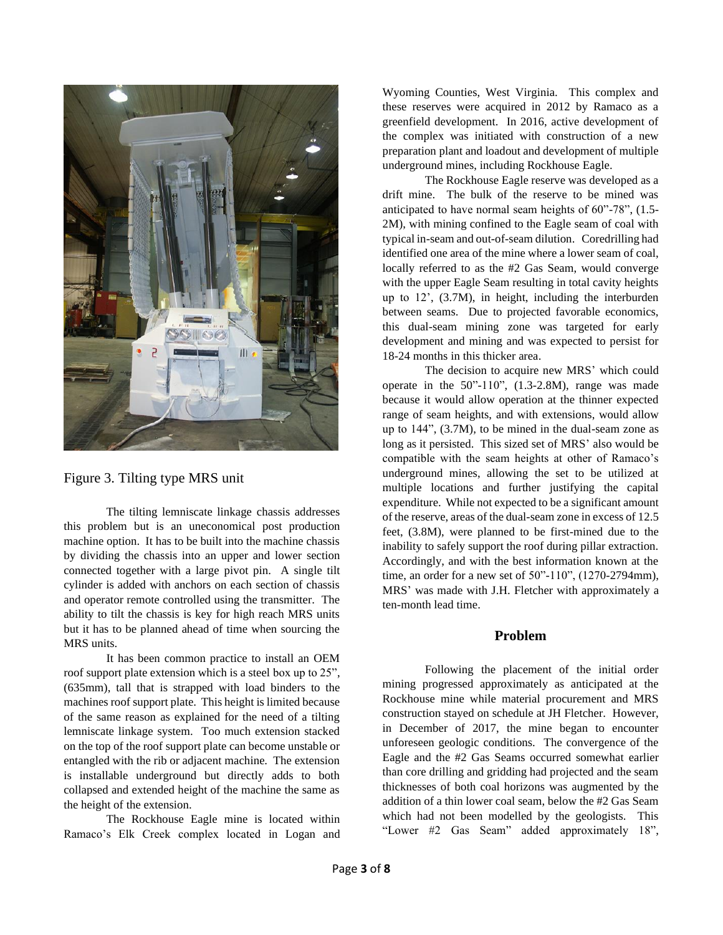

Figure 3. Tilting type MRS unit

The tilting lemniscate linkage chassis addresses this problem but is an uneconomical post production machine option. It has to be built into the machine chassis by dividing the chassis into an upper and lower section connected together with a large pivot pin. A single tilt cylinder is added with anchors on each section of chassis and operator remote controlled using the transmitter. The ability to tilt the chassis is key for high reach MRS units but it has to be planned ahead of time when sourcing the MRS units.

It has been common practice to install an OEM roof support plate extension which is a steel box up to 25", (635mm), tall that is strapped with load binders to the machines roof support plate. This height is limited because of the same reason as explained for the need of a tilting lemniscate linkage system. Too much extension stacked on the top of the roof support plate can become unstable or entangled with the rib or adjacent machine. The extension is installable underground but directly adds to both collapsed and extended height of the machine the same as the height of the extension.

The Rockhouse Eagle mine is located within Ramaco's Elk Creek complex located in Logan and Wyoming Counties, West Virginia. This complex and these reserves were acquired in 2012 by Ramaco as a greenfield development. In 2016, active development of the complex was initiated with construction of a new preparation plant and loadout and development of multiple underground mines, including Rockhouse Eagle.

The Rockhouse Eagle reserve was developed as a drift mine. The bulk of the reserve to be mined was anticipated to have normal seam heights of 60"-78", (1.5- 2M), with mining confined to the Eagle seam of coal with typical in-seam and out-of-seam dilution. Coredrilling had identified one area of the mine where a lower seam of coal, locally referred to as the #2 Gas Seam, would converge with the upper Eagle Seam resulting in total cavity heights up to 12', (3.7M), in height, including the interburden between seams. Due to projected favorable economics, this dual-seam mining zone was targeted for early development and mining and was expected to persist for 18-24 months in this thicker area.

The decision to acquire new MRS' which could operate in the  $50^{\circ}$ -110 $^{\circ}$ ,  $(1.3$ -2.8M), range was made because it would allow operation at the thinner expected range of seam heights, and with extensions, would allow up to 144", (3.7M), to be mined in the dual-seam zone as long as it persisted. This sized set of MRS' also would be compatible with the seam heights at other of Ramaco's underground mines, allowing the set to be utilized at multiple locations and further justifying the capital expenditure. While not expected to be a significant amount of the reserve, areas of the dual-seam zone in excess of 12.5 feet, (3.8M), were planned to be first-mined due to the inability to safely support the roof during pillar extraction. Accordingly, and with the best information known at the time, an order for a new set of 50"-110", (1270-2794mm), MRS' was made with J.H. Fletcher with approximately a ten-month lead time.

# **Problem**

Following the placement of the initial order mining progressed approximately as anticipated at the Rockhouse mine while material procurement and MRS construction stayed on schedule at JH Fletcher. However, in December of 2017, the mine began to encounter unforeseen geologic conditions. The convergence of the Eagle and the #2 Gas Seams occurred somewhat earlier than core drilling and gridding had projected and the seam thicknesses of both coal horizons was augmented by the addition of a thin lower coal seam, below the #2 Gas Seam which had not been modelled by the geologists. This "Lower #2 Gas Seam" added approximately 18",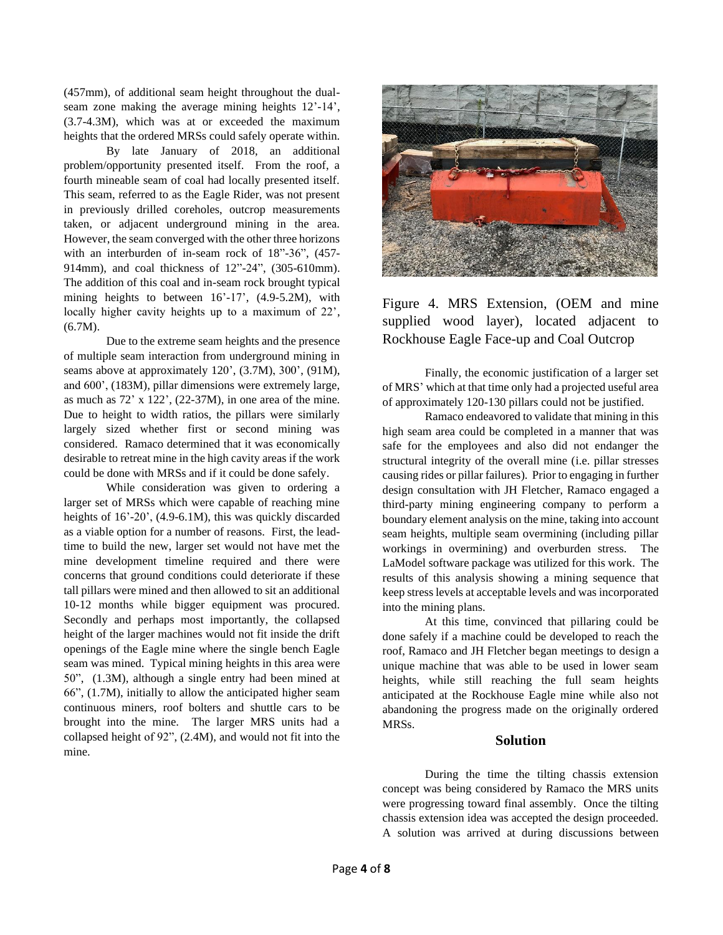(457mm), of additional seam height throughout the dualseam zone making the average mining heights 12'-14', (3.7-4.3M), which was at or exceeded the maximum heights that the ordered MRSs could safely operate within.

By late January of 2018, an additional problem/opportunity presented itself. From the roof, a fourth mineable seam of coal had locally presented itself. This seam, referred to as the Eagle Rider, was not present in previously drilled coreholes, outcrop measurements taken, or adjacent underground mining in the area. However, the seam converged with the other three horizons with an interburden of in-seam rock of 18"-36", (457- 914mm), and coal thickness of 12"-24", (305-610mm). The addition of this coal and in-seam rock brought typical mining heights to between 16'-17', (4.9-5.2M), with locally higher cavity heights up to a maximum of 22', (6.7M).

Due to the extreme seam heights and the presence of multiple seam interaction from underground mining in seams above at approximately 120', (3.7M), 300', (91M), and 600', (183M), pillar dimensions were extremely large, as much as 72' x 122', (22-37M), in one area of the mine. Due to height to width ratios, the pillars were similarly largely sized whether first or second mining was considered. Ramaco determined that it was economically desirable to retreat mine in the high cavity areas if the work could be done with MRSs and if it could be done safely.

While consideration was given to ordering a larger set of MRSs which were capable of reaching mine heights of  $16'$ -20', (4.9-6.1M), this was quickly discarded as a viable option for a number of reasons. First, the leadtime to build the new, larger set would not have met the mine development timeline required and there were concerns that ground conditions could deteriorate if these tall pillars were mined and then allowed to sit an additional 10-12 months while bigger equipment was procured. Secondly and perhaps most importantly, the collapsed height of the larger machines would not fit inside the drift openings of the Eagle mine where the single bench Eagle seam was mined. Typical mining heights in this area were 50", (1.3M), although a single entry had been mined at 66", (1.7M), initially to allow the anticipated higher seam continuous miners, roof bolters and shuttle cars to be brought into the mine. The larger MRS units had a collapsed height of 92", (2.4M), and would not fit into the mine.



Figure 4. MRS Extension, (OEM and mine supplied wood layer), located adjacent to Rockhouse Eagle Face-up and Coal Outcrop

Finally, the economic justification of a larger set of MRS' which at that time only had a projected useful area of approximately 120-130 pillars could not be justified.

Ramaco endeavored to validate that mining in this high seam area could be completed in a manner that was safe for the employees and also did not endanger the structural integrity of the overall mine (i.e. pillar stresses causing rides or pillar failures). Prior to engaging in further design consultation with JH Fletcher, Ramaco engaged a third-party mining engineering company to perform a boundary element analysis on the mine, taking into account seam heights, multiple seam overmining (including pillar workings in overmining) and overburden stress. The LaModel software package was utilized for this work. The results of this analysis showing a mining sequence that keep stress levels at acceptable levels and was incorporated into the mining plans.

At this time, convinced that pillaring could be done safely if a machine could be developed to reach the roof, Ramaco and JH Fletcher began meetings to design a unique machine that was able to be used in lower seam heights, while still reaching the full seam heights anticipated at the Rockhouse Eagle mine while also not abandoning the progress made on the originally ordered **MRSs**.

#### **Solution**

During the time the tilting chassis extension concept was being considered by Ramaco the MRS units were progressing toward final assembly. Once the tilting chassis extension idea was accepted the design proceeded. A solution was arrived at during discussions between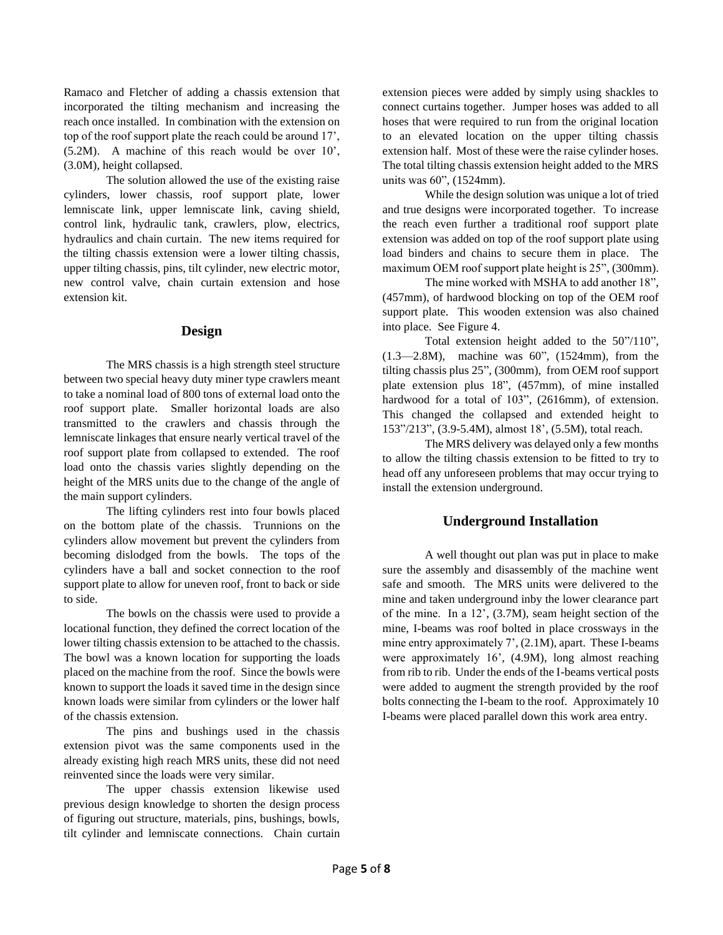Ramaco and Fletcher of adding a chassis extension that incorporated the tilting mechanism and increasing the reach once installed. In combination with the extension on top of the roof support plate the reach could be around 17', (5.2M). A machine of this reach would be over 10', (3.0M), height collapsed.

The solution allowed the use of the existing raise cylinders, lower chassis, roof support plate, lower lemniscate link, upper lemniscate link, caving shield, control link, hydraulic tank, crawlers, plow, electrics, hydraulics and chain curtain. The new items required for the tilting chassis extension were a lower tilting chassis, upper tilting chassis, pins, tilt cylinder, new electric motor, new control valve, chain curtain extension and hose extension kit.

#### **Design**

The MRS chassis is a high strength steel structure between two special heavy duty miner type crawlers meant to take a nominal load of 800 tons of external load onto the roof support plate. Smaller horizontal loads are also transmitted to the crawlers and chassis through the lemniscate linkages that ensure nearly vertical travel of the roof support plate from collapsed to extended. The roof load onto the chassis varies slightly depending on the height of the MRS units due to the change of the angle of the main support cylinders.

The lifting cylinders rest into four bowls placed on the bottom plate of the chassis. Trunnions on the cylinders allow movement but prevent the cylinders from becoming dislodged from the bowls. The tops of the cylinders have a ball and socket connection to the roof support plate to allow for uneven roof, front to back or side to side.

The bowls on the chassis were used to provide a locational function, they defined the correct location of the lower tilting chassis extension to be attached to the chassis. The bowl was a known location for supporting the loads placed on the machine from the roof. Since the bowls were known to support the loads it saved time in the design since known loads were similar from cylinders or the lower half of the chassis extension.

The pins and bushings used in the chassis extension pivot was the same components used in the already existing high reach MRS units, these did not need reinvented since the loads were very similar.

The upper chassis extension likewise used previous design knowledge to shorten the design process of figuring out structure, materials, pins, bushings, bowls, tilt cylinder and lemniscate connections. Chain curtain extension pieces were added by simply using shackles to connect curtains together. Jumper hoses was added to all hoses that were required to run from the original location to an elevated location on the upper tilting chassis extension half. Most of these were the raise cylinder hoses. The total tilting chassis extension height added to the MRS units was 60", (1524mm).

While the design solution was unique a lot of tried and true designs were incorporated together. To increase the reach even further a traditional roof support plate extension was added on top of the roof support plate using load binders and chains to secure them in place. The maximum OEM roof support plate height is 25", (300mm).

The mine worked with MSHA to add another 18", (457mm), of hardwood blocking on top of the OEM roof support plate. This wooden extension was also chained into place. See Figure 4.

Total extension height added to the 50"/110", (1.3—2.8M), machine was 60", (1524mm), from the tilting chassis plus 25", (300mm), from OEM roof support plate extension plus 18", (457mm), of mine installed hardwood for a total of 103", (2616mm), of extension. This changed the collapsed and extended height to 153"/213", (3.9-5.4M), almost 18', (5.5M), total reach.

The MRS delivery was delayed only a few months to allow the tilting chassis extension to be fitted to try to head off any unforeseen problems that may occur trying to install the extension underground.

## **Underground Installation**

A well thought out plan was put in place to make sure the assembly and disassembly of the machine went safe and smooth. The MRS units were delivered to the mine and taken underground inby the lower clearance part of the mine. In a 12', (3.7M), seam height section of the mine, I-beams was roof bolted in place crossways in the mine entry approximately 7', (2.1M), apart. These I-beams were approximately 16', (4.9M), long almost reaching from rib to rib. Under the ends of the I-beams vertical posts were added to augment the strength provided by the roof bolts connecting the I-beam to the roof. Approximately 10 I-beams were placed parallel down this work area entry.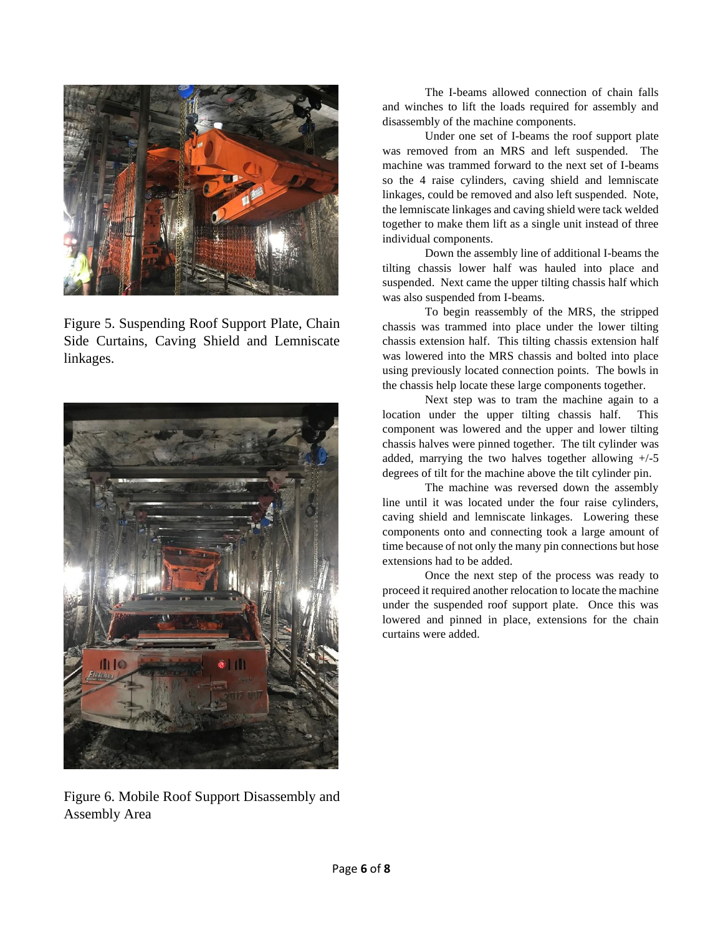

Figure 5. Suspending Roof Support Plate, Chain Side Curtains, Caving Shield and Lemniscate linkages.



Figure 6. Mobile Roof Support Disassembly and Assembly Area

The I-beams allowed connection of chain falls and winches to lift the loads required for assembly and disassembly of the machine components.

Under one set of I-beams the roof support plate was removed from an MRS and left suspended. The machine was trammed forward to the next set of I-beams so the 4 raise cylinders, caving shield and lemniscate linkages, could be removed and also left suspended. Note, the lemniscate linkages and caving shield were tack welded together to make them lift as a single unit instead of three individual components.

Down the assembly line of additional I-beams the tilting chassis lower half was hauled into place and suspended. Next came the upper tilting chassis half which was also suspended from I-beams.

To begin reassembly of the MRS, the stripped chassis was trammed into place under the lower tilting chassis extension half. This tilting chassis extension half was lowered into the MRS chassis and bolted into place using previously located connection points. The bowls in the chassis help locate these large components together.

Next step was to tram the machine again to a location under the upper tilting chassis half. This component was lowered and the upper and lower tilting chassis halves were pinned together. The tilt cylinder was added, marrying the two halves together allowing  $+/-5$ degrees of tilt for the machine above the tilt cylinder pin.

The machine was reversed down the assembly line until it was located under the four raise cylinders, caving shield and lemniscate linkages. Lowering these components onto and connecting took a large amount of time because of not only the many pin connections but hose extensions had to be added.

Once the next step of the process was ready to proceed it required another relocation to locate the machine under the suspended roof support plate. Once this was lowered and pinned in place, extensions for the chain curtains were added.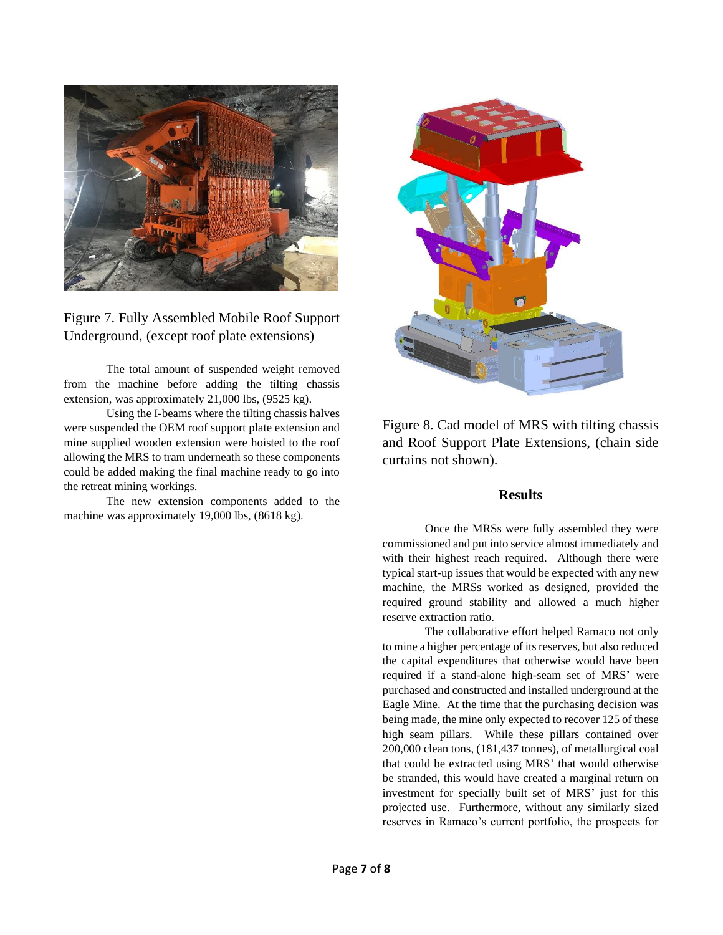

Figure 7. Fully Assembled Mobile Roof Support Underground, (except roof plate extensions)

The total amount of suspended weight removed from the machine before adding the tilting chassis extension, was approximately 21,000 lbs, (9525 kg).

Using the I-beams where the tilting chassis halves were suspended the OEM roof support plate extension and mine supplied wooden extension were hoisted to the roof allowing the MRS to tram underneath so these components could be added making the final machine ready to go into the retreat mining workings.

The new extension components added to the machine was approximately 19,000 lbs, (8618 kg).



Figure 8. Cad model of MRS with tilting chassis and Roof Support Plate Extensions, (chain side curtains not shown).

#### **Results**

Once the MRSs were fully assembled they were commissioned and put into service almost immediately and with their highest reach required. Although there were typical start-up issues that would be expected with any new machine, the MRSs worked as designed, provided the required ground stability and allowed a much higher reserve extraction ratio.

The collaborative effort helped Ramaco not only to mine a higher percentage of its reserves, but also reduced the capital expenditures that otherwise would have been required if a stand-alone high-seam set of MRS' were purchased and constructed and installed underground at the Eagle Mine. At the time that the purchasing decision was being made, the mine only expected to recover 125 of these high seam pillars. While these pillars contained over 200,000 clean tons, (181,437 tonnes), of metallurgical coal that could be extracted using MRS' that would otherwise be stranded, this would have created a marginal return on investment for specially built set of MRS' just for this projected use. Furthermore, without any similarly sized reserves in Ramaco's current portfolio, the prospects for